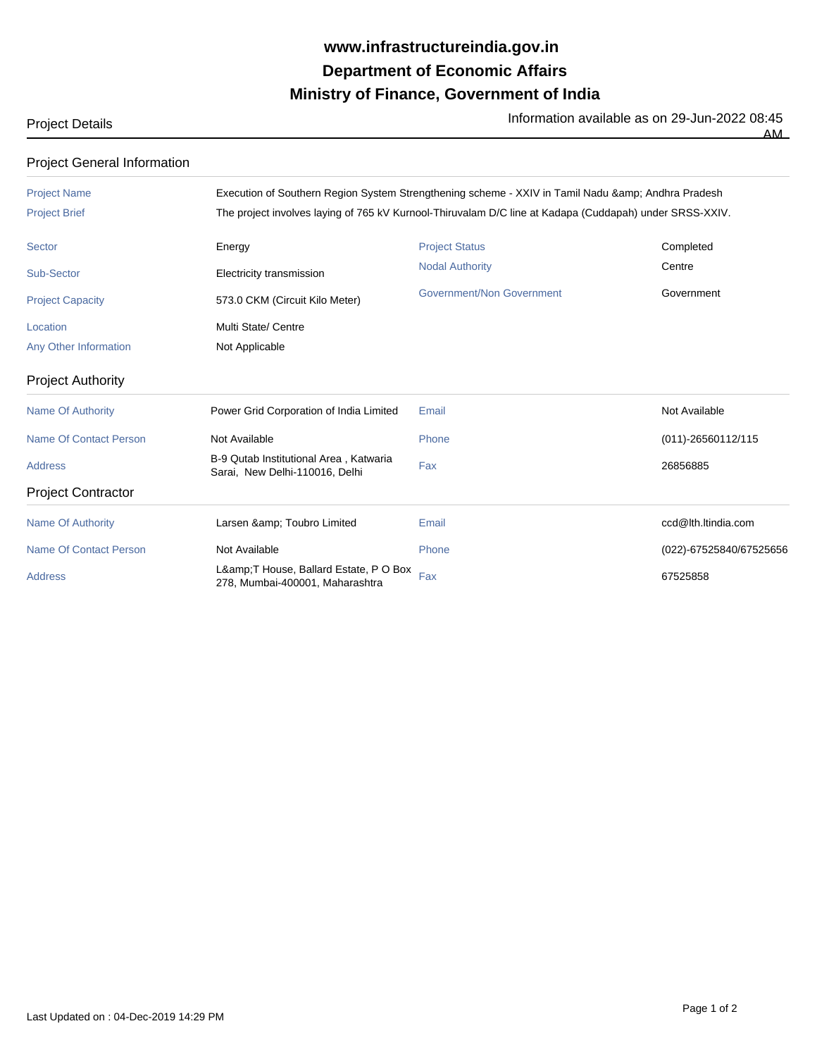## **Ministry of Finance, Government of India Department of Economic Affairs www.infrastructureindia.gov.in**

Project Details **Information available as on 29-Jun-2022 08:45**<br>The Information available as on 29-Jun-2022 08:45

AM

| <b>Project General Information</b> |                                                                                                         |                                  |                         |  |
|------------------------------------|---------------------------------------------------------------------------------------------------------|----------------------------------|-------------------------|--|
| <b>Project Name</b>                | Execution of Southern Region System Strengthening scheme - XXIV in Tamil Nadu & Andhra Pradesh          |                                  |                         |  |
| <b>Project Brief</b>               | The project involves laying of 765 kV Kurnool-Thiruvalam D/C line at Kadapa (Cuddapah) under SRSS-XXIV. |                                  |                         |  |
| <b>Sector</b>                      | Energy                                                                                                  | <b>Project Status</b>            | Completed               |  |
| <b>Sub-Sector</b>                  | Electricity transmission                                                                                | <b>Nodal Authority</b>           | Centre                  |  |
| <b>Project Capacity</b>            | 573.0 CKM (Circuit Kilo Meter)                                                                          | <b>Government/Non Government</b> | Government              |  |
| Location                           | Multi State/ Centre                                                                                     |                                  |                         |  |
| <b>Any Other Information</b>       | Not Applicable                                                                                          |                                  |                         |  |
| <b>Project Authority</b>           |                                                                                                         |                                  |                         |  |
| <b>Name Of Authority</b>           | Power Grid Corporation of India Limited                                                                 | Email                            | Not Available           |  |
| <b>Name Of Contact Person</b>      | Not Available                                                                                           | Phone                            | (011)-26560112/115      |  |
| <b>Address</b>                     | B-9 Qutab Institutional Area, Katwaria<br>Sarai, New Delhi-110016, Delhi                                | Fax                              | 26856885                |  |
| <b>Project Contractor</b>          |                                                                                                         |                                  |                         |  |
| <b>Name Of Authority</b>           | Larsen & Toubro Limited                                                                                 | Email                            | ccd@lth.ltindia.com     |  |
| <b>Name Of Contact Person</b>      | Not Available                                                                                           | Phone                            | (022)-67525840/67525656 |  |
| <b>Address</b>                     | L&T House, Ballard Estate, P O Box<br>278, Mumbai-400001, Maharashtra                                   | Fax                              | 67525858                |  |

Last Updated on : 04-Dec-2019 14:29 PM